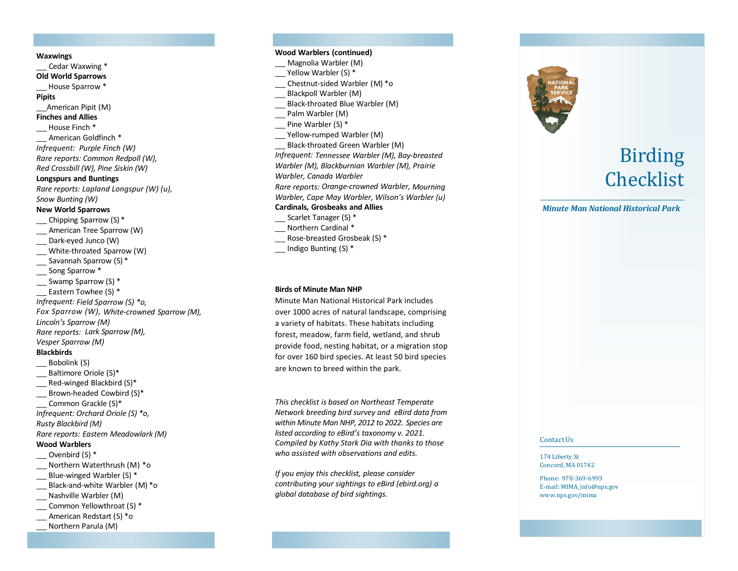### **W a x wings**

 $\overline{a}$ Cedar Waxwing \* **Old World Sparrows** 

֦ House Sparrow \*

## **Pipi t s**

 $\overline{a}$ American Pipit (M) **Finches and Allies** \_\_ House Finch \* \_ American Goldfinch \* *Infrequent: Purple Finch (W) Rare reports: C o m m o n R edp o ll (W), Red Crossbi l l (W), Pin e Sis k in (W)* **Longspurs and Buntings** 

*R a r e reports : Lapland Longspur ( W) (u ), S n o w B u n t i n g ( W)*

# **New World Sparrows**

- ı Chipping Sparrow (S)\*
- $\overline{a}$ American Tree Sparrow (W)
- ı Dark-eyed Junco (W)
- $\overline{a}$ White-throated Sparrow (W)
- ֦ Savannah Sparrow (S)\*
- ı Song Sparrow \*
- \_\_ Swamp Sparrow (S) \*
- Eastern Towhee (S) \*

*Infrequent : Field Sparrow (S) \*o, Fox Sparrow (W), White-crowned Sparrow (M), L inc oln 's Sparrow (M) Rare reports : L ark Sp a r ro w (M), Vesper Sparrow* (M)

## **B l a c kbi r d s**

 $\overline{a}$ 

- $\overline{a}$ Bobolink (S) ֦ Baltimore Oriole (S)\* ı Red-winged Blackbird (S)\* \_ Brown-headed Cowbird (S)\* \_\_ Common Grackle (S)\* *Infrequent: O r c h ard O ri o l e (S) \* o, Rusty Blackbird (M) Rare reports: Eastern Meadowlark (M)* Wood Warblers ı Ovenbird (S) \*
- $\overline{a}$ Northern Waterthrush (M) \*o
- \_ Blue-winged Warbler (S) \*
- \_ Black-and-white Warbler (M) \*o ı Nashville Warbler (M)
- ֦ Common Yellowthroat (S) \*
- ı American Redstart (S) \*o
- ı Northern Parula (M)

### Wood Warblers (continued)

- $\overline{a}$ Magnolia Warbler (M)
- \_\_ Yellow Warbler (S) \*
- ֦ Chestnut-sided Warbler (M) \*o
- \_ Blackpoll Warbler (M)
- \_ Black-throated Blue Warbler (M)
- ֦ Palm Warbler (M)
- ֦ Pine Warbler (S) \*
- ı Yellow-rumped Warbler (M)
- \_ Black-throated Green Warbler (M)

Infrequent: Tennessee Warbler (M), Bay-breasted *Warbler* (M), Blackburnian Warbler (M), Prairie Warbler, Canada Warbler

Rare reports: Orange-crowned Warbler, Mourning

*Wa rb l er, Cape May Warbler, Wilson's Warbler (u)* Cardinals, Grosbeaks and Allies

- Scarlet Tanager (S) \*
- ı Northern Cardinal \*

֦

- $\overline{a}$ Rose-breasted Grosbeak (S) \*
- ı Indigo Bunting (S) \*

### **Birds of Minute Man NHP**

Minute Man National Historical Park includes over 1000 acres of natural landscape, comprising a variety of habitats. These habitats including forest, meadow, farm field, wetland, and shrub provide food, nesting habitat, or a migration stop for over 160 bird species. At least 50 bird species are known to breed within the park.

*This checklist is based on Northeast Temperate Network breeding bird survey and eBird data from within Minute Man NHP, 2012 to 2022 . Species are listed according to eBi rd 's t axo n o m y v. 2021 . Compiled by Kathy Stark Dia with thanks to those who assisted with observations and edits. If you enjoy this checklist, please consider*

*contributing your sightings to eBird (ebird. o rg) a g*lobal database of bird sightings.



# **Birding** Checklist

*Minute Man National Historical Park* 

### Contact Us

174 Liberty St Concord, MA 01742

Phone: 978-369-6993 E-mail: MIMA\_info@nps.gov www.nps.gov/mima